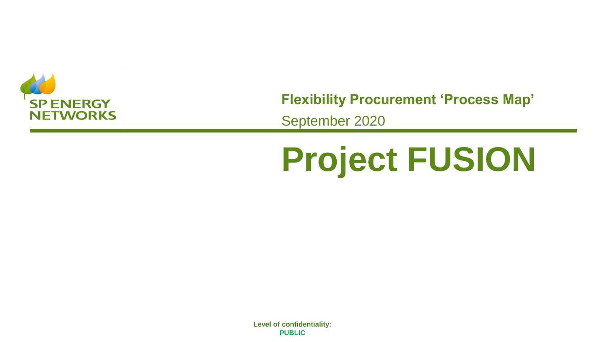

**Flexibility Procurement 'Process Map'**

September 2020

## **Project FUSION**

**species of confidentiality.**<br>**PURFIC PUBLIC Level of confidentiality: PUBLIC**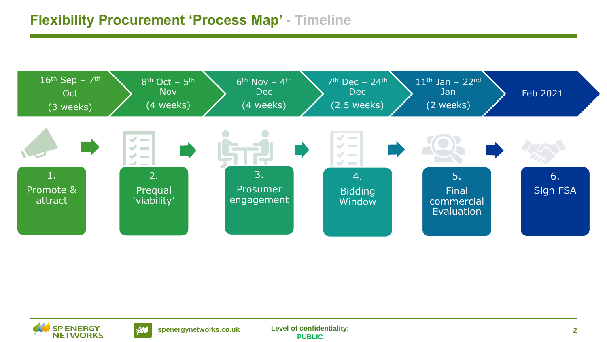